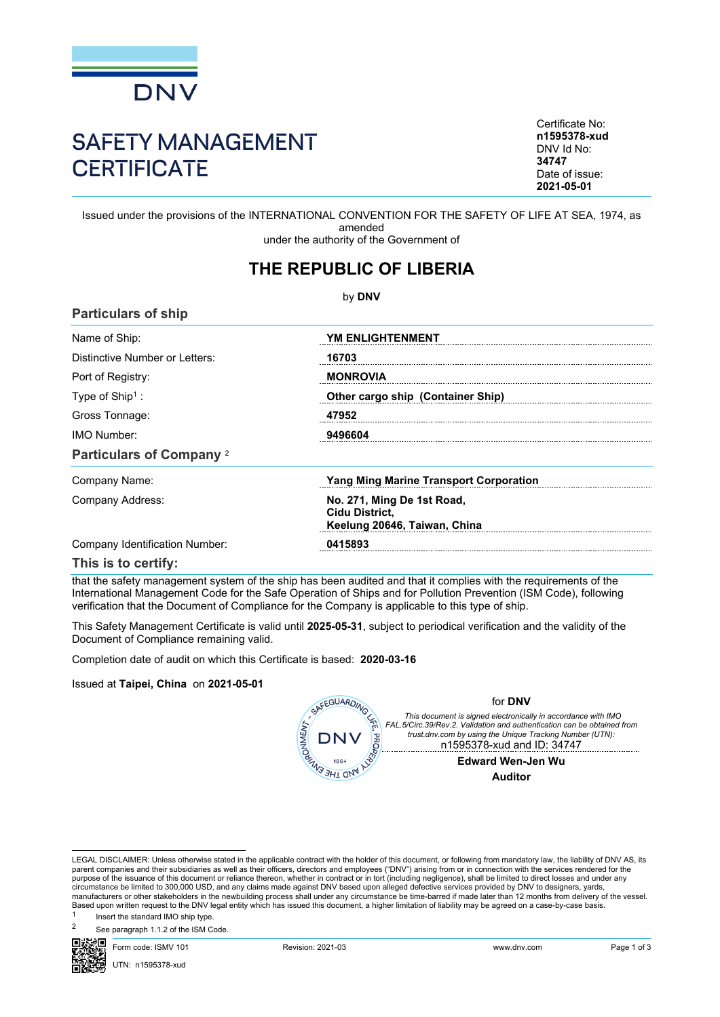

# SAFETY MANAGEMENT **CERTIFICATE**

Certificate No: **n1595378-xud** DNV Id No: **34747** Date of issue: **2021-05-01**

Issued under the provisions of the INTERNATIONAL CONVENTION FOR THE SAFETY OF LIFE AT SEA, 1974, as amended under the authority of the Government of

## **THE REPUBLIC OF LIBERIA**

by **DNV Particulars of ship** Name of Ship: **YM ENLIGHTENMENT** Distinctive Number or Letters: **16703** Port of Registry: **MONROVIA** : **Other cargo ship (Container Ship)** Type of Ship<sup>1</sup>: Gross Tonnage: **47952** IMO Number: **9496604 Particulars of Company** <sup>2</sup> Company Name: **Yang Ming Marine Transport Corporation** Company Address: **No. 271, Ming De 1st Road, Cidu District, Keelung 20646, Taiwan, China** Company Identification Number: **0415893**

**This is to certify:**

that the safety management system of the ship has been audited and that it complies with the requirements of the International Management Code for the Safe Operation of Ships and for Pollution Prevention (ISM Code), following verification that the Document of Compliance for the Company is applicable to this type of ship.

This Safety Management Certificate is valid until **2025-05-31**, subject to periodical verification and the validity of the Document of Compliance remaining valid.

Completion date of audit on which this Certificate is based: **2020-03-16**

#### Issued at **Taipei, China** on **2021-05-01**



#### for **DNV**

*This document is signed electronically in accordance with IMO FAL.5/Circ.39/Rev.2. Validation and authentication can be obtained from trust.dnv.com by using the Unique Tracking Number (UTN):* n1595378-xud and ID: 34747

> **Edward Wen-Jen Wu Auditor**

LEGAL DISCLAIMER: Unless otherwise stated in the applicable contract with the holder of this document, or following from mandatory law, the liability of DNV AS, its<br>parent companies and their subsidiaries as well as their circumstance be limited to 300,000 USD, and any claims made against DNV based upon alleged defective services provided by DNV to designers, yards, manufacturers or other stakeholders in the newbuilding process shall under any circumstance be time-barred if made later than 12 months from delivery of the vessel.<br>Based upon written request to the DNV legal entity which

Insert the standard IMO ship type.

See paragraph 1.1.2 of the ISM Code.



Form code: ISMV 101 Revision: 2021-03 www.dnv.com Page 1 of 3

UTN: n1595378-xud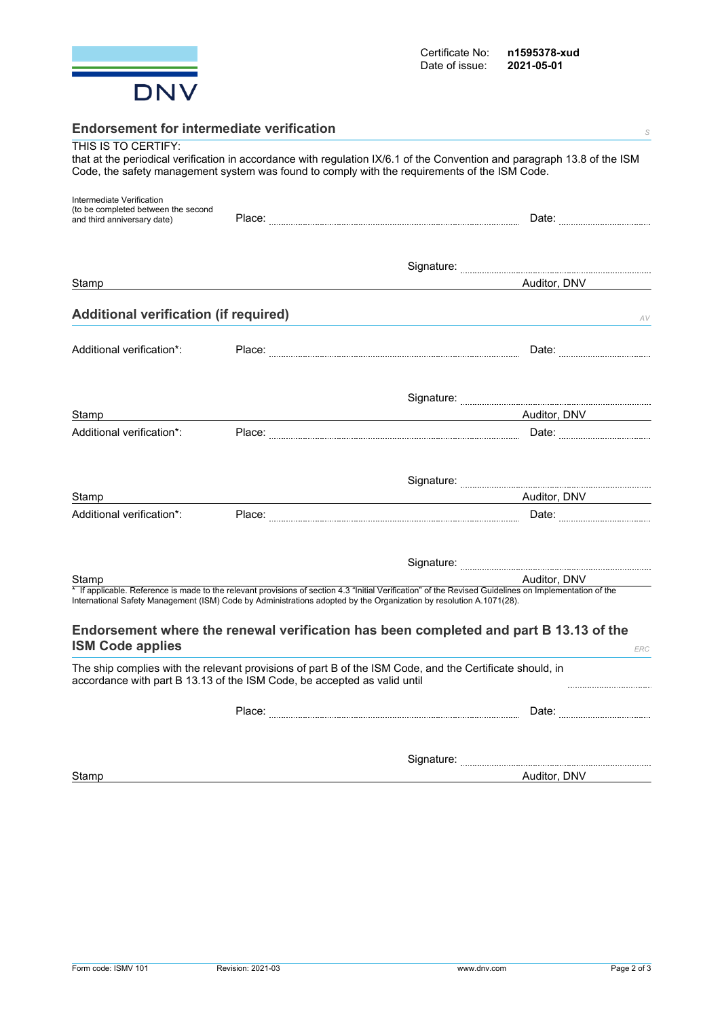

| <b>Endorsement for intermediate verification</b>                                                | S                                                                                                                                                                                                                                                                             |
|-------------------------------------------------------------------------------------------------|-------------------------------------------------------------------------------------------------------------------------------------------------------------------------------------------------------------------------------------------------------------------------------|
| THIS IS TO CERTIFY:                                                                             | that at the periodical verification in accordance with regulation IX/6.1 of the Convention and paragraph 13.8 of the ISM<br>Code, the safety management system was found to comply with the requirements of the ISM Code.                                                     |
| Intermediate Verification<br>(to be completed between the second<br>and third anniversary date) |                                                                                                                                                                                                                                                                               |
|                                                                                                 |                                                                                                                                                                                                                                                                               |
| Stamp                                                                                           | Auditor, DNV                                                                                                                                                                                                                                                                  |
| <b>Additional verification (if required)</b>                                                    | AV                                                                                                                                                                                                                                                                            |
| Additional verification*:                                                                       |                                                                                                                                                                                                                                                                               |
|                                                                                                 |                                                                                                                                                                                                                                                                               |
| Stamp                                                                                           | <u>Auditor, DNV</u>                                                                                                                                                                                                                                                           |
| Additional verification*:                                                                       |                                                                                                                                                                                                                                                                               |
|                                                                                                 |                                                                                                                                                                                                                                                                               |
| Stamp                                                                                           | Auditor, DNV                                                                                                                                                                                                                                                                  |
| Additional verification*:                                                                       |                                                                                                                                                                                                                                                                               |
|                                                                                                 |                                                                                                                                                                                                                                                                               |
| Stamp                                                                                           | Auditor, DNV                                                                                                                                                                                                                                                                  |
|                                                                                                 | * If applicable. Reference is made to the relevant provisions of section 4.3 "Initial Verification" of the Revised Guidelines on Implementation of the<br>International Safety Management (ISM) Code by Administrations adopted by the Organization by resolution A.1071(28). |
| <b>ISM Code applies</b>                                                                         | Endorsement where the renewal verification has been completed and part B 13.13 of the<br>ERC                                                                                                                                                                                  |
| accordance with part B 13.13 of the ISM Code, be accepted as valid until                        | The ship complies with the relevant provisions of part B of the ISM Code, and the Certificate should, in                                                                                                                                                                      |
|                                                                                                 | Date: <b>2008</b>                                                                                                                                                                                                                                                             |
|                                                                                                 |                                                                                                                                                                                                                                                                               |